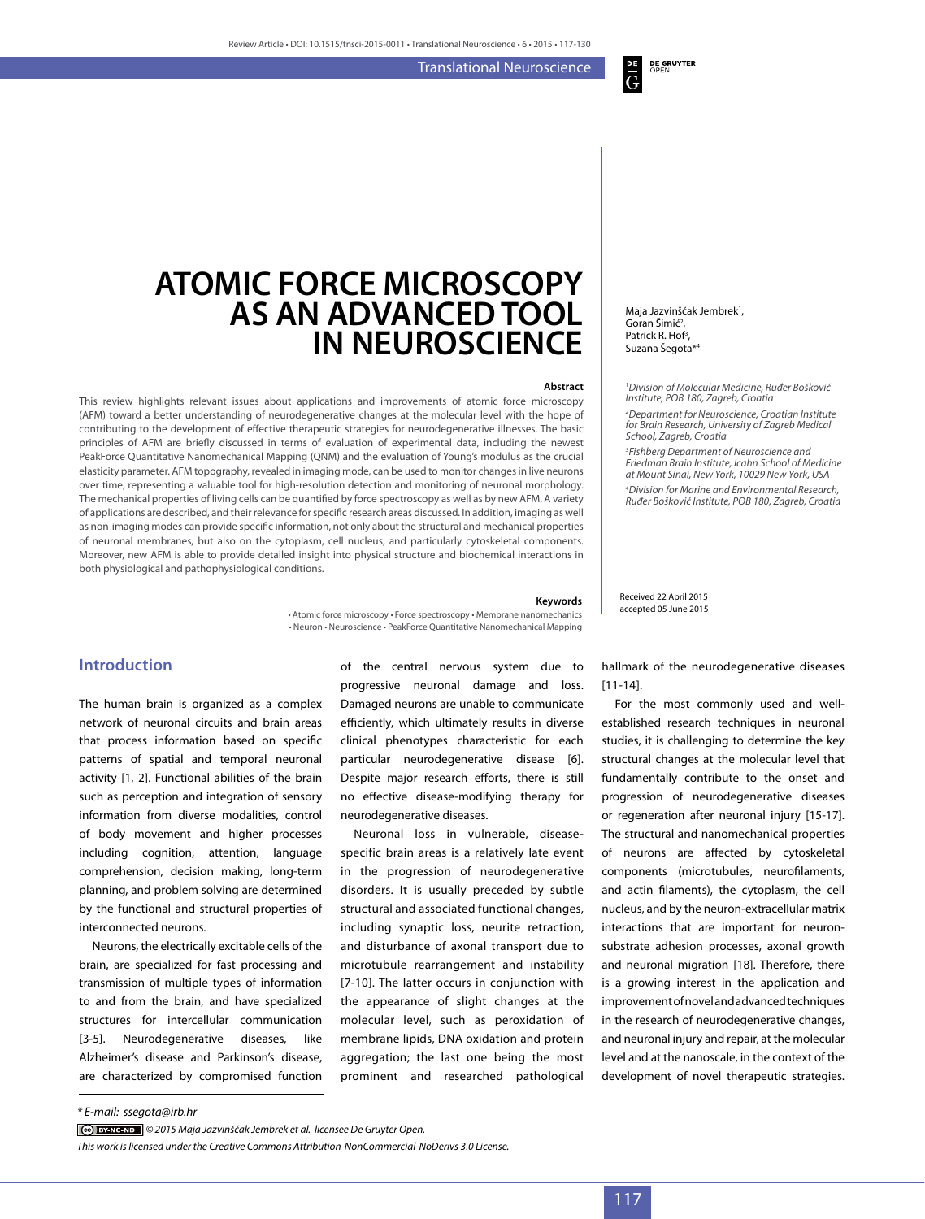Translational Neuroscience

**DE GRUYTER** 

# **Atomic force microscopy as an advanced tool in neuroscience**

#### **Abstract**

This review highlights relevant issues about applications and improvements of atomic force microscopy (AFM) toward a better understanding of neurodegenerative changes at the molecular level with the hope of contributing to the development of effective therapeutic strategies for neurodegenerative illnesses. The basic principles of AFM are briefly discussed in terms of evaluation of experimental data, including the newest PeakForce Quantitative Nanomechanical Mapping (QNM) and the evaluation of Young's modulus as the crucial elasticity parameter. AFM topography, revealed in imaging mode, can be used to monitor changes in live neurons over time, representing a valuable tool for high-resolution detection and monitoring of neuronal morphology. The mechanical properties of living cells can be quantified by force spectroscopy as well as by new AFM. A variety of applications are described, and their relevance for specific research areas discussed. In addition, imaging as well as non-imaging modes can provide specific information, not only about the structural and mechanical properties of neuronal membranes, but also on the cytoplasm, cell nucleus, and particularly cytoskeletal components. Moreover, new AFM is able to provide detailed insight into physical structure and biochemical interactions in both physiological and pathophysiological conditions.

#### accepted 05 June 2015 **Keywords**

[11-14].

Received 22 April 2015

• Atomic force microscopy • Force spectroscopy • Membrane nanomechanics • Neuron • Neuroscience • PeakForce Quantitative Nanomechanical Mapping

# **Introduction**

The human brain is organized as a complex network of neuronal circuits and brain areas that process information based on specific patterns of spatial and temporal neuronal activity [1, 2]. Functional abilities of the brain such as perception and integration of sensory information from diverse modalities, control of body movement and higher processes including cognition, attention, language comprehension, decision making, long-term planning, and problem solving are determined by the functional and structural properties of interconnected neurons.

Neurons, the electrically excitable cells of the brain, are specialized for fast processing and transmission of multiple types of information to and from the brain, and have specialized structures for intercellular communication [3-5]. Neurodegenerative diseases, like Alzheimer's disease and Parkinson's disease, are characterized by compromised function

of the central nervous system due to progressive neuronal damage and loss. Damaged neurons are unable to communicate efficiently, which ultimately results in diverse clinical phenotypes characteristic for each particular neurodegenerative disease [6]. Despite major research efforts, there is still no effective disease-modifying therapy for neurodegenerative diseases.

Neuronal loss in vulnerable, diseasespecific brain areas is a relatively late event in the progression of neurodegenerative disorders. It is usually preceded by subtle structural and associated functional changes, including synaptic loss, neurite retraction, and disturbance of axonal transport due to microtubule rearrangement and instability [7-10]. The latter occurs in conjunction with the appearance of slight changes at the molecular level, such as peroxidation of membrane lipids, DNA oxidation and protein aggregation; the last one being the most prominent and researched pathological

Maja Jazvinšćak Jembrek<sup>1</sup>, Goran Šimić<sup>2</sup>, Patrick R. Hof<sup>3</sup>, Suzana Šegota\*4

*1 Division of Molecular Medicine, Ruđer Bošković Institute, POB 180, Zagreb, Croatia* 

*2 Department for Neuroscience, Croatian Institute for Brain Research, University of Zagreb Medical School, Zagreb, Croatia*

*3 Fishberg Department of Neuroscience and Friedman Brain Institute, Icahn School of Medicine at Mount Sinai, New York, 10029 New York, USA 4 Division for Marine and Environmental Research, Ruđer Bošković Institute, POB 180, Zagreb, Croatia*

hallmark of the neurodegenerative diseases

For the most commonly used and wellestablished research techniques in neuronal studies, it is challenging to determine the key structural changes at the molecular level that fundamentally contribute to the onset and progression of neurodegenerative diseases or regeneration after neuronal injury [15-17]. The structural and nanomechanical properties of neurons are affected by cytoskeletal components (microtubules, neurofilaments, and actin filaments), the cytoplasm, the cell nucleus, and by the neuron-extracellular matrix interactions that are important for neuronsubstrate adhesion processes, axonal growth and neuronal migration [18]. Therefore, there is a growing interest in the application and improvement of novel and advanced techniques in the research of neurodegenerative changes, and neuronal injury and repair, at the molecular level and at the nanoscale, in the context of the development of novel therapeutic strategies.

*<sup>\*</sup> E-mail: ssegota@irb.hr*

*<sup>© 2015</sup> Maja Jazvinšćak Jembrek et al. licensee De Gruyter Open.* 

*This work is licensed under the Creative Commons Attribution-NonCommercial-NoDerivs 3.0 License.*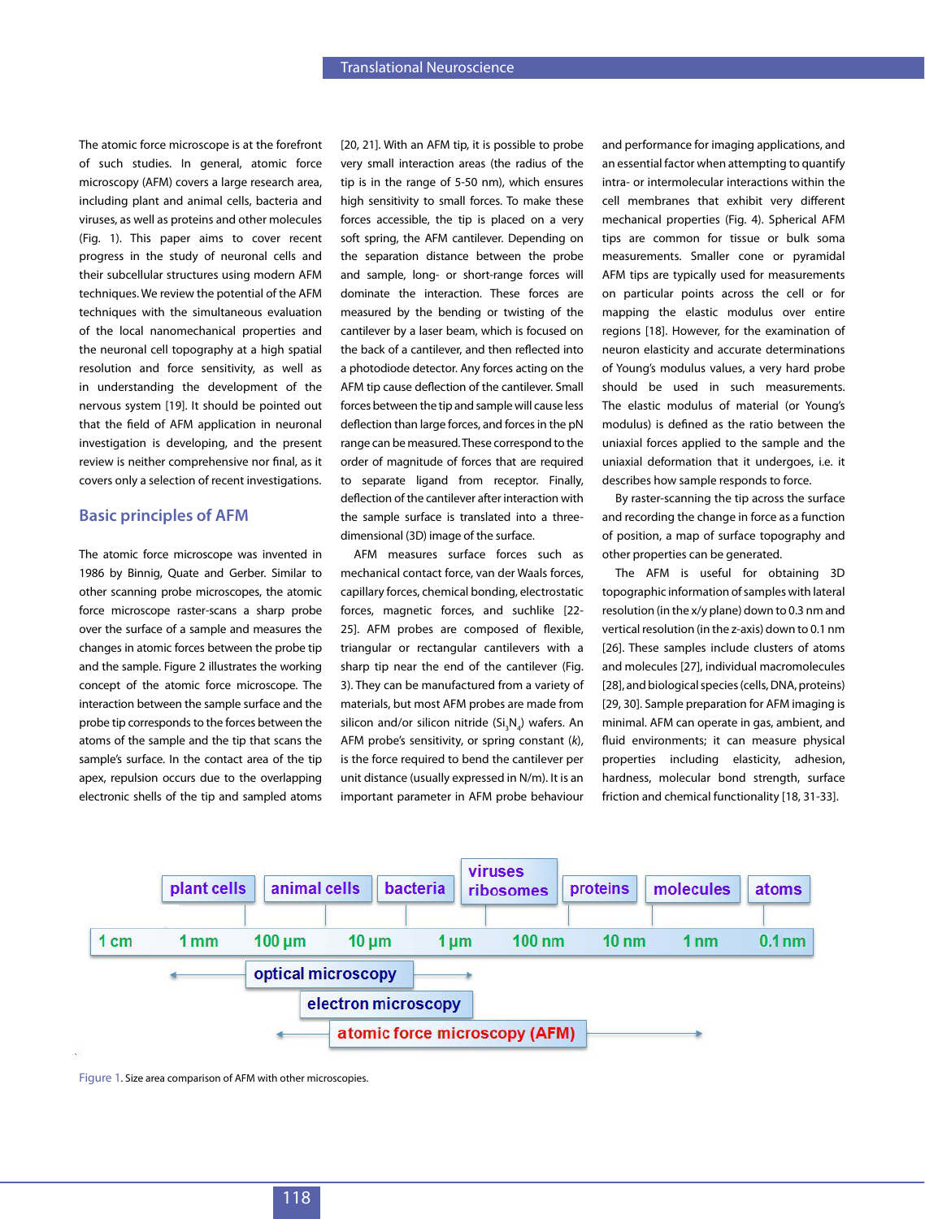The atomic force microscope is at the forefront of such studies. In general, atomic force microscopy (AFM) covers a large research area, including plant and animal cells, bacteria and viruses, as well as proteins and other molecules (Fig. 1). This paper aims to cover recent progress in the study of neuronal cells and their subcellular structures using modern AFM techniques. We review the potential of the AFM techniques with the simultaneous evaluation of the local nanomechanical properties and the neuronal cell topography at a high spatial resolution and force sensitivity, as well as in understanding the development of the nervous system [19]. It should be pointed out that the field of AFM application in neuronal investigation is developing, and the present review is neither comprehensive nor final, as it covers only a selection of recent investigations.

## **Basic principles of AFM**

The atomic force microscope was invented in 1986 by Binnig, Quate and Gerber. Similar to other scanning probe microscopes, the atomic force microscope raster-scans a sharp probe over the surface of a sample and measures the changes in atomic forces between the probe tip and the sample. Figure 2 illustrates the working concept of the atomic force microscope. The interaction between the sample surface and the probe tip corresponds to the forces between the atoms of the sample and the tip that scans the sample's surface. In the contact area of the tip apex, repulsion occurs due to the overlapping electronic shells of the tip and sampled atoms [20, 21]. With an AFM tip, it is possible to probe very small interaction areas (the radius of the tip is in the range of 5-50 nm), which ensures high sensitivity to small forces. To make these forces accessible, the tip is placed on a very soft spring, the AFM cantilever. Depending on the separation distance between the probe and sample, long- or short-range forces will dominate the interaction. These forces are measured by the bending or twisting of the cantilever by a laser beam, which is focused on the back of a cantilever, and then reflected into a photodiode detector. Any forces acting on the AFM tip cause deflection of the cantilever. Small forces between the tip and sample will cause less deflection than large forces, and forces in the pN range can be measured. These correspond to the order of magnitude of forces that are required to separate ligand from receptor. Finally, deflection of the cantilever after interaction with the sample surface is translated into a threedimensional (3D) image of the surface.

AFM measures surface forces such as mechanical contact force, van der Waals forces, capillary forces, chemical bonding, electrostatic forces, magnetic forces, and suchlike [22- 25]. AFM probes are composed of flexible, triangular or rectangular cantilevers with a sharp tip near the end of the cantilever (Fig. 3). They can be manufactured from a variety of materials, but most AFM probes are made from silicon and/or silicon nitride  $(Si_{3}N_{4})$  wafers. An AFM probe's sensitivity, or spring constant (*k*), is the force required to bend the cantilever per unit distance (usually expressed in N/m). It is an important parameter in AFM probe behaviour

and performance for imaging applications, and an essential factor when attempting to quantify intra- or intermolecular interactions within the cell membranes that exhibit very different mechanical properties (Fig. 4). Spherical AFM tips are common for tissue or bulk soma measurements. Smaller cone or pyramidal AFM tips are typically used for measurements on particular points across the cell or for mapping the elastic modulus over entire regions [18]. However, for the examination of neuron elasticity and accurate determinations of Young's modulus values, a very hard probe should be used in such measurements. The elastic modulus of material (or Young's modulus) is defined as the ratio between the uniaxial forces applied to the sample and the uniaxial deformation that it undergoes, i.e. it describes how sample responds to force.

By raster-scanning the tip across the surface and recording the change in force as a function of position, a map of surface topography and other properties can be generated.

The AFM is useful for obtaining 3D topographic information of samples with lateral resolution (in the x/y plane) down to 0.3 nm and vertical resolution (in the z-axis) down to 0.1 nm [26]. These samples include clusters of atoms and molecules [27], individual macromolecules [28], and biological species (cells, DNA, proteins) [29, 30]. Sample preparation for AFM imaging is minimal. AFM can operate in gas, ambient, and fluid environments; it can measure physical properties including elasticity, adhesion, hardness, molecular bond strength, surface friction and chemical functionality [18, 31-33].



Figure 1. Size area comparison of AFM with other microscopies.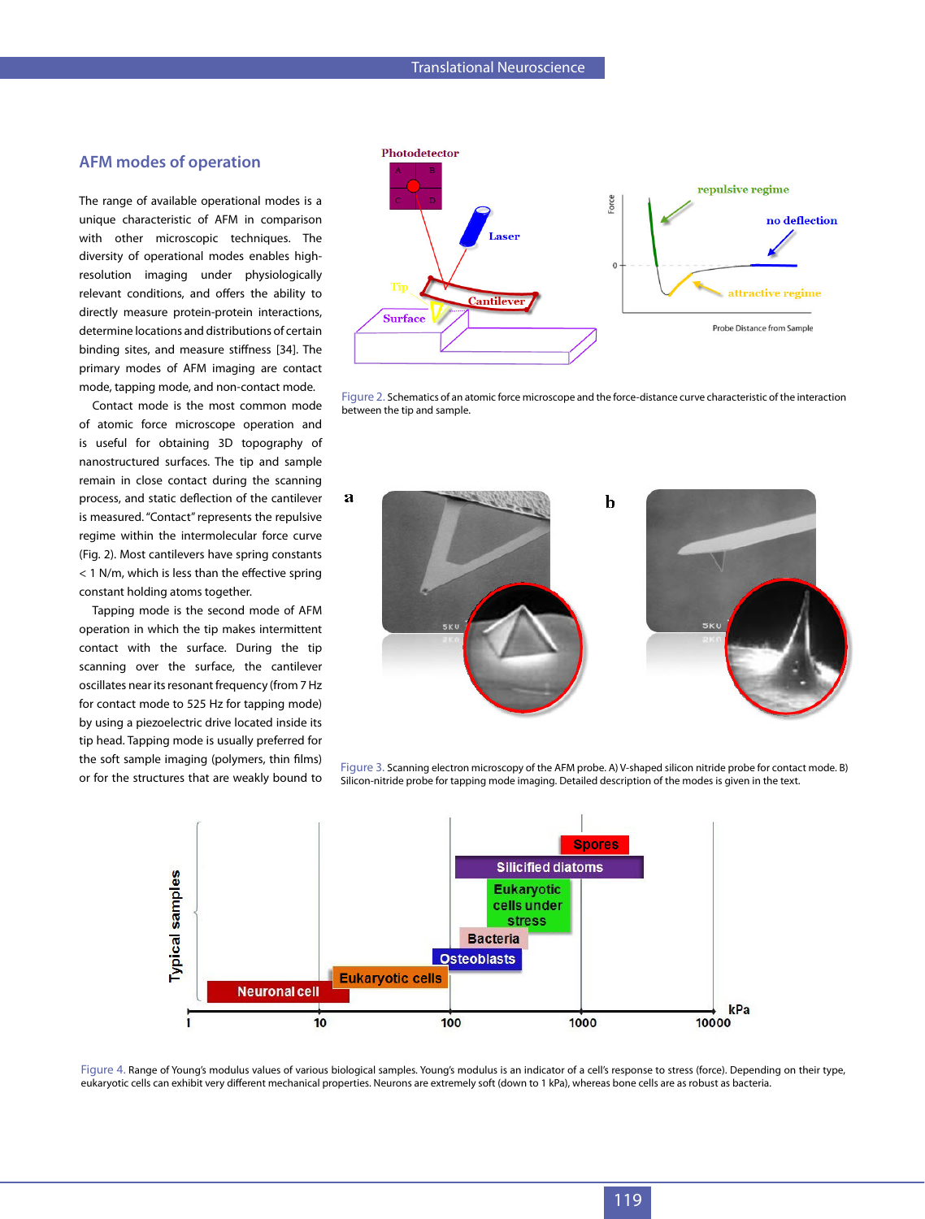#### **AFM modes of operation**

The range of available operational modes is a unique characteristic of AFM in comparison with other microscopic techniques. The diversity of operational modes enables highresolution imaging under physiologically relevant conditions, and offers the ability to directly measure protein-protein interactions, determine locations and distributions of certain binding sites, and measure stiffness [34]. The primary modes of AFM imaging are contact mode, tapping mode, and non-contact mode.

Contact mode is the most common mode of atomic force microscope operation and is useful for obtaining 3D topography of nanostructured surfaces. The tip and sample remain in close contact during the scanning process, and static deflection of the cantilever is measured. "Contact" represents the repulsive regime within the intermolecular force curve (Fig. 2). Most cantilevers have spring constants < 1 N/m, which is less than the effective spring constant holding atoms together.

Tapping mode is the second mode of AFM operation in which the tip makes intermittent contact with the surface. During the tip scanning over the surface, the cantilever oscillates near its resonant frequency (from 7 Hz for contact mode to 525 Hz for tapping mode) by using a piezoelectric drive located inside its tip head. Tapping mode is usually preferred for the soft sample imaging (polymers, thin films) or for the structures that are weakly bound to



Figure 2. Schematics of an atomic force microscope and the force-distance curve characteristic of the interaction between the tip and sample.



Figure 3. Scanning electron microscopy of the AFM probe. A) V-shaped silicon nitride probe for contact mode. B) Silicon-nitride probe for tapping mode imaging. Detailed description of the modes is given in the text.



Figure 4. Range of Young's modulus values of various biological samples. Young's modulus is an indicator of a cell's response to stress (force). Depending on their type, eukaryotic cells can exhibit very different mechanical properties. Neurons are extremely soft (down to 1 kPa), whereas bone cells are as robust as bacteria.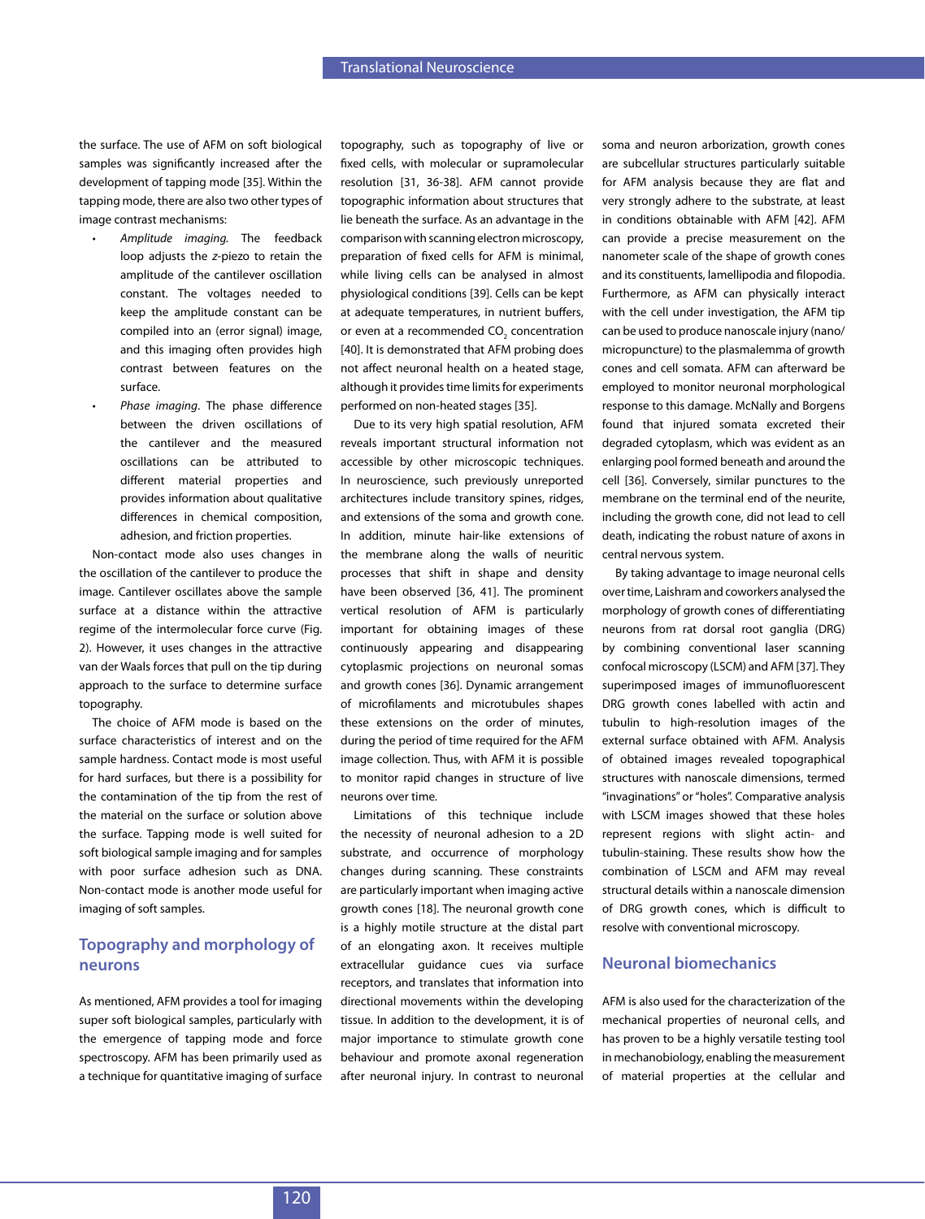the surface. The use of AFM on soft biological samples was significantly increased after the development of tapping mode [35]. Within the tapping mode, there are also two other types of image contrast mechanisms:

- *Amplitude imaging.* The feedback loop adjusts the *z*-piezo to retain the amplitude of the cantilever oscillation constant. The voltages needed to keep the amplitude constant can be compiled into an (error signal) image, and this imaging often provides high contrast between features on the surface.
- *Phase imaging*. The phase difference between the driven oscillations of the cantilever and the measured oscillations can be attributed to different material properties and provides information about qualitative differences in chemical composition, adhesion, and friction properties.

Non-contact mode also uses changes in the oscillation of the cantilever to produce the image. Cantilever oscillates above the sample surface at a distance within the attractive regime of the intermolecular force curve (Fig. 2). However, it uses changes in the attractive van der Waals forces that pull on the tip during approach to the surface to determine surface topography.

The choice of AFM mode is based on the surface characteristics of interest and on the sample hardness. Contact mode is most useful for hard surfaces, but there is a possibility for the contamination of the tip from the rest of the material on the surface or solution above the surface. Tapping mode is well suited for soft biological sample imaging and for samples with poor surface adhesion such as DNA. Non-contact mode is another mode useful for imaging of soft samples.

# **Topography and morphology of neurons**

As mentioned, AFM provides a tool for imaging super soft biological samples, particularly with the emergence of tapping mode and force spectroscopy. AFM has been primarily used as a technique for quantitative imaging of surface

topography, such as topography of live or fixed cells, with molecular or supramolecular resolution [31, 36-38]. AFM cannot provide topographic information about structures that lie beneath the surface. As an advantage in the comparison with scanning electron microscopy, preparation of fixed cells for AFM is minimal, while living cells can be analysed in almost physiological conditions [39]. Cells can be kept at adequate temperatures, in nutrient buffers, or even at a recommended  $CO_2$  concentration [40]. It is demonstrated that AFM probing does not affect neuronal health on a heated stage, although it provides time limits for experiments performed on non-heated stages [35].

Due to its very high spatial resolution, AFM reveals important structural information not accessible by other microscopic techniques. In neuroscience, such previously unreported architectures include transitory spines, ridges, and extensions of the soma and growth cone. In addition, minute hair-like extensions of the membrane along the walls of neuritic processes that shift in shape and density have been observed [36, 41]. The prominent vertical resolution of AFM is particularly important for obtaining images of these continuously appearing and disappearing cytoplasmic projections on neuronal somas and growth cones [36]. Dynamic arrangement of microfilaments and microtubules shapes these extensions on the order of minutes, during the period of time required for the AFM image collection. Thus, with AFM it is possible to monitor rapid changes in structure of live neurons over time.

Limitations of this technique include the necessity of neuronal adhesion to a 2D substrate, and occurrence of morphology changes during scanning. These constraints are particularly important when imaging active growth cones [18]. The neuronal growth cone is a highly motile structure at the distal part of an elongating axon. It receives multiple extracellular guidance cues via surface receptors, and translates that information into directional movements within the developing tissue. In addition to the development, it is of major importance to stimulate growth cone behaviour and promote axonal regeneration after neuronal injury. In contrast to neuronal soma and neuron arborization, growth cones are subcellular structures particularly suitable for AFM analysis because they are flat and very strongly adhere to the substrate, at least in conditions obtainable with AFM [42]. AFM can provide a precise measurement on the nanometer scale of the shape of growth cones and its constituents, lamellipodia and filopodia. Furthermore, as AFM can physically interact with the cell under investigation, the AFM tip can be used to produce nanoscale injury (nano/ micropuncture) to the plasmalemma of growth cones and cell somata. AFM can afterward be employed to monitor neuronal morphological response to this damage. McNally and Borgens found that injured somata excreted their degraded cytoplasm, which was evident as an enlarging pool formed beneath and around the cell [36]. Conversely, similar punctures to the membrane on the terminal end of the neurite, including the growth cone, did not lead to cell death, indicating the robust nature of axons in central nervous system.

By taking advantage to image neuronal cells over time, Laishram and coworkers analysed the morphology of growth cones of differentiating neurons from rat dorsal root ganglia (DRG) by combining conventional laser scanning confocal microscopy (LSCM) and AFM [37]. They superimposed images of immunofluorescent DRG growth cones labelled with actin and tubulin to high-resolution images of the external surface obtained with AFM. Analysis of obtained images revealed topographical structures with nanoscale dimensions, termed "invaginations" or "holes". Comparative analysis with LSCM images showed that these holes represent regions with slight actin- and tubulin-staining. These results show how the combination of LSCM and AFM may reveal structural details within a nanoscale dimension of DRG growth cones, which is difficult to resolve with conventional microscopy.

#### **Neuronal biomechanics**

AFM is also used for the characterization of the mechanical properties of neuronal cells, and has proven to be a highly versatile testing tool in mechanobiology, enabling the measurement of material properties at the cellular and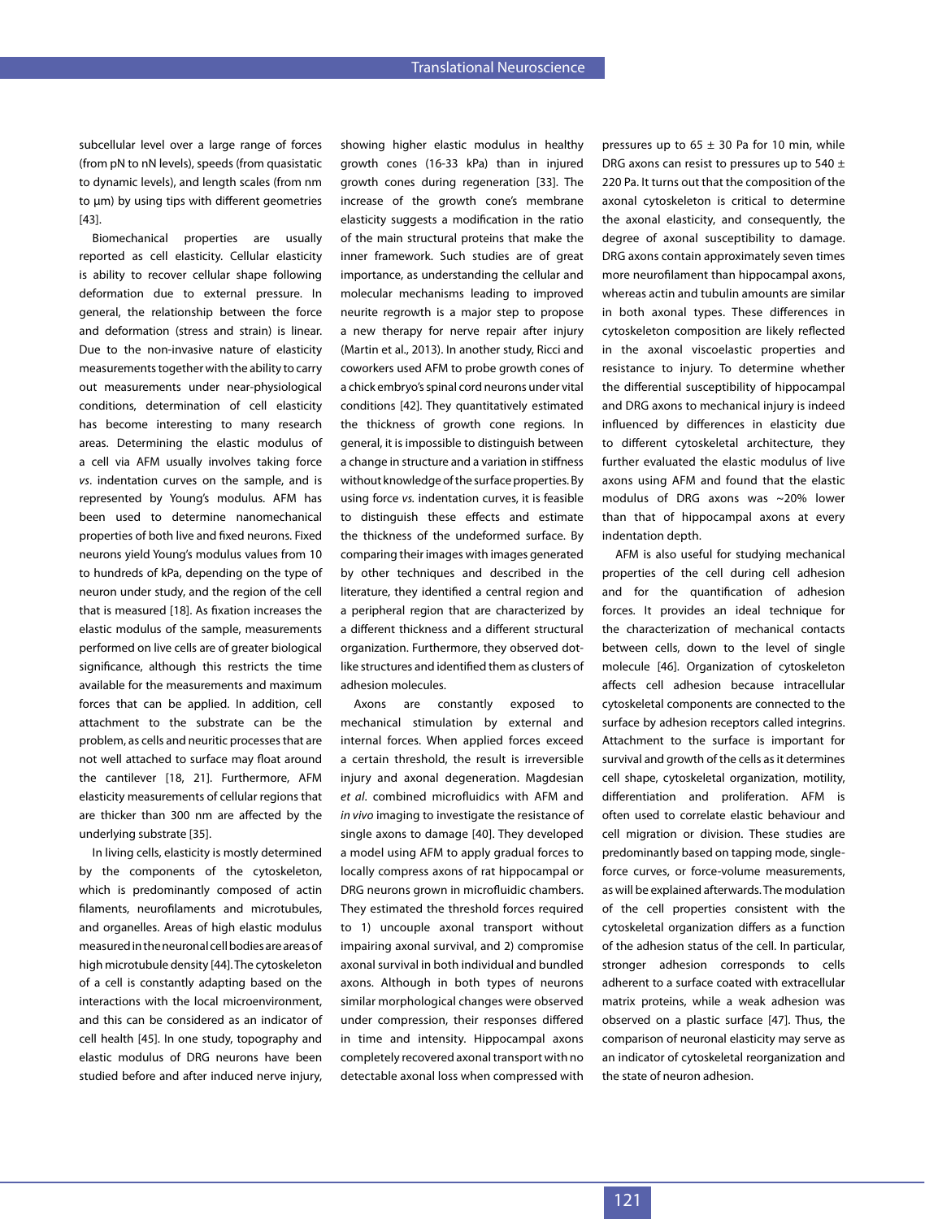subcellular level over a large range of forces (from pN to nN levels), speeds (from quasistatic to dynamic levels), and length scales (from nm to  $\mu$ m) by using tips with different geometries [43].

Biomechanical properties are usually reported as cell elasticity. Cellular elasticity is ability to recover cellular shape following deformation due to external pressure. In general, the relationship between the force and deformation (stress and strain) is linear. Due to the non-invasive nature of elasticity measurements together with the ability to carry out measurements under near-physiological conditions, determination of cell elasticity has become interesting to many research areas. Determining the elastic modulus of a cell via AFM usually involves taking force *vs*. indentation curves on the sample, and is represented by Young's modulus. AFM has been used to determine nanomechanical properties of both live and fixed neurons. Fixed neurons yield Young's modulus values from 10 to hundreds of kPa, depending on the type of neuron under study, and the region of the cell that is measured [18]. As fixation increases the elastic modulus of the sample, measurements performed on live cells are of greater biological significance, although this restricts the time available for the measurements and maximum forces that can be applied. In addition, cell attachment to the substrate can be the problem, as cells and neuritic processes that are not well attached to surface may float around the cantilever [18, 21]. Furthermore, AFM elasticity measurements of cellular regions that are thicker than 300 nm are affected by the underlying substrate [35].

In living cells, elasticity is mostly determined by the components of the cytoskeleton, which is predominantly composed of actin filaments, neurofilaments and microtubules, and organelles. Areas of high elastic modulus measured in the neuronal cell bodies are areas of high microtubule density [44]. The cytoskeleton of a cell is constantly adapting based on the interactions with the local microenvironment, and this can be considered as an indicator of cell health [45]. In one study, topography and elastic modulus of DRG neurons have been studied before and after induced nerve injury, showing higher elastic modulus in healthy growth cones (16-33 kPa) than in injured growth cones during regeneration [33]. The increase of the growth cone's membrane elasticity suggests a modification in the ratio of the main structural proteins that make the inner framework. Such studies are of great importance, as understanding the cellular and molecular mechanisms leading to improved neurite regrowth is a major step to propose a new therapy for nerve repair after injury (Martin et al., 2013). In another study, Ricci and coworkers used AFM to probe growth cones of a chick embryo's spinal cord neurons under vital conditions [42]. They quantitatively estimated the thickness of growth cone regions. In general, it is impossible to distinguish between a change in structure and a variation in stiffness without knowledge of the surface properties. By using force *vs.* indentation curves, it is feasible to distinguish these effects and estimate the thickness of the undeformed surface. By comparing their images with images generated by other techniques and described in the literature, they identified a central region and a peripheral region that are characterized by a different thickness and a different structural organization. Furthermore, they observed dotlike structures and identified them as clusters of adhesion molecules.

Axons are constantly exposed to mechanical stimulation by external and internal forces. When applied forces exceed a certain threshold, the result is irreversible injury and axonal degeneration. Magdesian *et al*. combined microfluidics with AFM and *in vivo* imaging to investigate the resistance of single axons to damage [40]. They developed a model using AFM to apply gradual forces to locally compress axons of rat hippocampal or DRG neurons grown in microfluidic chambers. They estimated the threshold forces required to 1) uncouple axonal transport without impairing axonal survival, and 2) compromise axonal survival in both individual and bundled axons. Although in both types of neurons similar morphological changes were observed under compression, their responses differed in time and intensity. Hippocampal axons completely recovered axonal transport with no detectable axonal loss when compressed with

pressures up to  $65 \pm 30$  Pa for 10 min, while DRG axons can resist to pressures up to  $540 +$ 220 Pa. It turns out that the composition of the axonal cytoskeleton is critical to determine the axonal elasticity, and consequently, the degree of axonal susceptibility to damage. DRG axons contain approximately seven times more neurofilament than hippocampal axons, whereas actin and tubulin amounts are similar in both axonal types. These differences in cytoskeleton composition are likely reflected in the axonal viscoelastic properties and resistance to injury. To determine whether the differential susceptibility of hippocampal and DRG axons to mechanical injury is indeed influenced by differences in elasticity due to different cytoskeletal architecture, they further evaluated the elastic modulus of live axons using AFM and found that the elastic modulus of DRG axons was ~20% lower than that of hippocampal axons at every indentation depth.

AFM is also useful for studying mechanical properties of the cell during cell adhesion and for the quantification of adhesion forces. It provides an ideal technique for the characterization of mechanical contacts between cells, down to the level of single molecule [46]. Organization of cytoskeleton affects cell adhesion because intracellular cytoskeletal components are connected to the surface by adhesion receptors called integrins. Attachment to the surface is important for survival and growth of the cells as it determines cell shape, cytoskeletal organization, motility, differentiation and proliferation. AFM is often used to correlate elastic behaviour and cell migration or division. These studies are predominantly based on tapping mode, singleforce curves, or force-volume measurements, as will be explained afterwards. The modulation of the cell properties consistent with the cytoskeletal organization differs as a function of the adhesion status of the cell. In particular, stronger adhesion corresponds to cells adherent to a surface coated with extracellular matrix proteins, while a weak adhesion was observed on a plastic surface [47]. Thus, the comparison of neuronal elasticity may serve as an indicator of cytoskeletal reorganization and the state of neuron adhesion.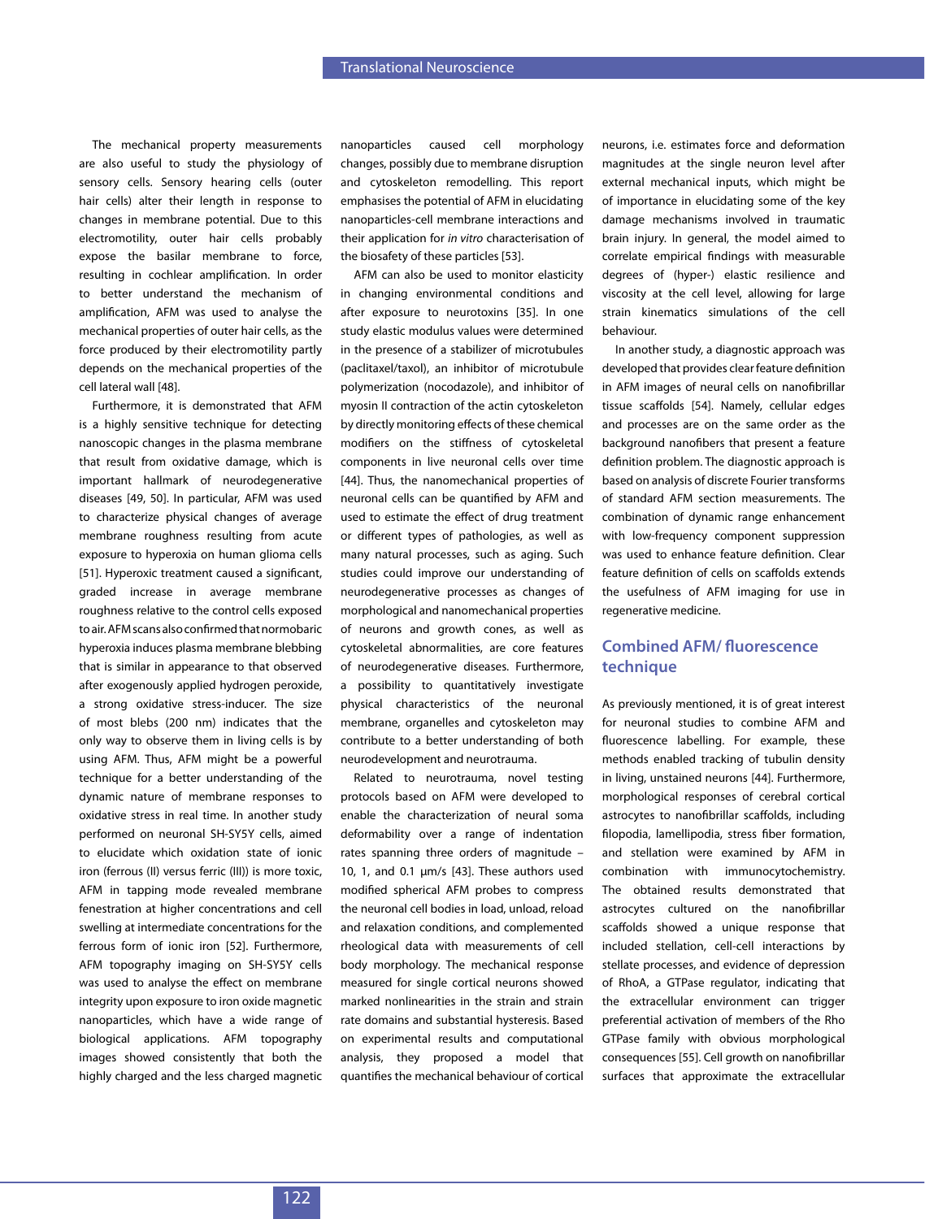The mechanical property measurements are also useful to study the physiology of sensory cells. Sensory hearing cells (outer hair cells) alter their length in response to changes in membrane potential. Due to this electromotility, outer hair cells probably expose the basilar membrane to force, resulting in cochlear amplification. In order to better understand the mechanism of amplification, AFM was used to analyse the mechanical properties of outer hair cells, as the force produced by their electromotility partly depends on the mechanical properties of the cell lateral wall [48].

Furthermore, it is demonstrated that AFM is a highly sensitive technique for detecting nanoscopic changes in the plasma membrane that result from oxidative damage, which is important hallmark of neurodegenerative diseases [49, 50]. In particular, AFM was used to characterize physical changes of average membrane roughness resulting from acute exposure to hyperoxia on human glioma cells [51]. Hyperoxic treatment caused a significant, graded increase in average membrane roughness relative to the control cells exposed to air. AFM scans also confirmed that normobaric hyperoxia induces plasma membrane blebbing that is similar in appearance to that observed after exogenously applied hydrogen peroxide, a strong oxidative stress-inducer. The size of most blebs (200 nm) indicates that the only way to observe them in living cells is by using AFM. Thus, AFM might be a powerful technique for a better understanding of the dynamic nature of membrane responses to oxidative stress in real time. In another study performed on neuronal SH-SY5Y cells, aimed to elucidate which oxidation state of ionic iron (ferrous (II) versus ferric (III)) is more toxic, AFM in tapping mode revealed membrane fenestration at higher concentrations and cell swelling at intermediate concentrations for the ferrous form of ionic iron [52]. Furthermore, AFM topography imaging on SH-SY5Y cells was used to analyse the effect on membrane integrity upon exposure to iron oxide magnetic nanoparticles, which have a wide range of biological applications. AFM topography images showed consistently that both the highly charged and the less charged magnetic

nanoparticles caused cell morphology changes, possibly due to membrane disruption and cytoskeleton remodelling. This report emphasises the potential of AFM in elucidating nanoparticles-cell membrane interactions and their application for *in vitro* characterisation of the biosafety of these particles [53].

AFM can also be used to monitor elasticity in changing environmental conditions and after exposure to neurotoxins [35]. In one study elastic modulus values were determined in the presence of a stabilizer of microtubules (paclitaxel/taxol), an inhibitor of microtubule polymerization (nocodazole), and inhibitor of myosin II contraction of the actin cytoskeleton by directly monitoring effects of these chemical modifiers on the stiffness of cytoskeletal components in live neuronal cells over time [44]. Thus, the nanomechanical properties of neuronal cells can be quantified by AFM and used to estimate the effect of drug treatment or different types of pathologies, as well as many natural processes, such as aging. Such studies could improve our understanding of neurodegenerative processes as changes of morphological and nanomechanical properties of neurons and growth cones, as well as cytoskeletal abnormalities, are core features of neurodegenerative diseases. Furthermore, a possibility to quantitatively investigate physical characteristics of the neuronal membrane, organelles and cytoskeleton may contribute to a better understanding of both neurodevelopment and neurotrauma.

Related to neurotrauma, novel testing protocols based on AFM were developed to enable the characterization of neural soma deformability over a range of indentation rates spanning three orders of magnitude – 10, 1, and 0.1 μm/s [43]. These authors used modified spherical AFM probes to compress the neuronal cell bodies in load, unload, reload and relaxation conditions, and complemented rheological data with measurements of cell body morphology. The mechanical response measured for single cortical neurons showed marked nonlinearities in the strain and strain rate domains and substantial hysteresis. Based on experimental results and computational analysis, they proposed a model that quantifies the mechanical behaviour of cortical

neurons, i.e. estimates force and deformation magnitudes at the single neuron level after external mechanical inputs, which might be of importance in elucidating some of the key damage mechanisms involved in traumatic brain injury. In general, the model aimed to correlate empirical findings with measurable degrees of (hyper-) elastic resilience and viscosity at the cell level, allowing for large strain kinematics simulations of the cell behaviour.

In another study, a diagnostic approach was developed that provides clear feature definition in AFM images of neural cells on nanofibrillar tissue scaffolds [54]. Namely, cellular edges and processes are on the same order as the background nanofibers that present a feature definition problem. The diagnostic approach is based on analysis of discrete Fourier transforms of standard AFM section measurements. The combination of dynamic range enhancement with low-frequency component suppression was used to enhance feature definition. Clear feature definition of cells on scaffolds extends the usefulness of AFM imaging for use in regenerative medicine.

# **Combined AFM/ fluorescence technique**

As previously mentioned, it is of great interest for neuronal studies to combine AFM and fluorescence labelling. For example, these methods enabled tracking of tubulin density in living, unstained neurons [44]. Furthermore, morphological responses of cerebral cortical astrocytes to nanofibrillar scaffolds, including filopodia, lamellipodia, stress fiber formation, and stellation were examined by AFM in combination with immunocytochemistry. The obtained results demonstrated that astrocytes cultured on the nanofibrillar scaffolds showed a unique response that included stellation, cell-cell interactions by stellate processes, and evidence of depression of RhoA, a GTPase regulator, indicating that the extracellular environment can trigger preferential activation of members of the Rho GTPase family with obvious morphological consequences [55]. Cell growth on nanofibrillar surfaces that approximate the extracellular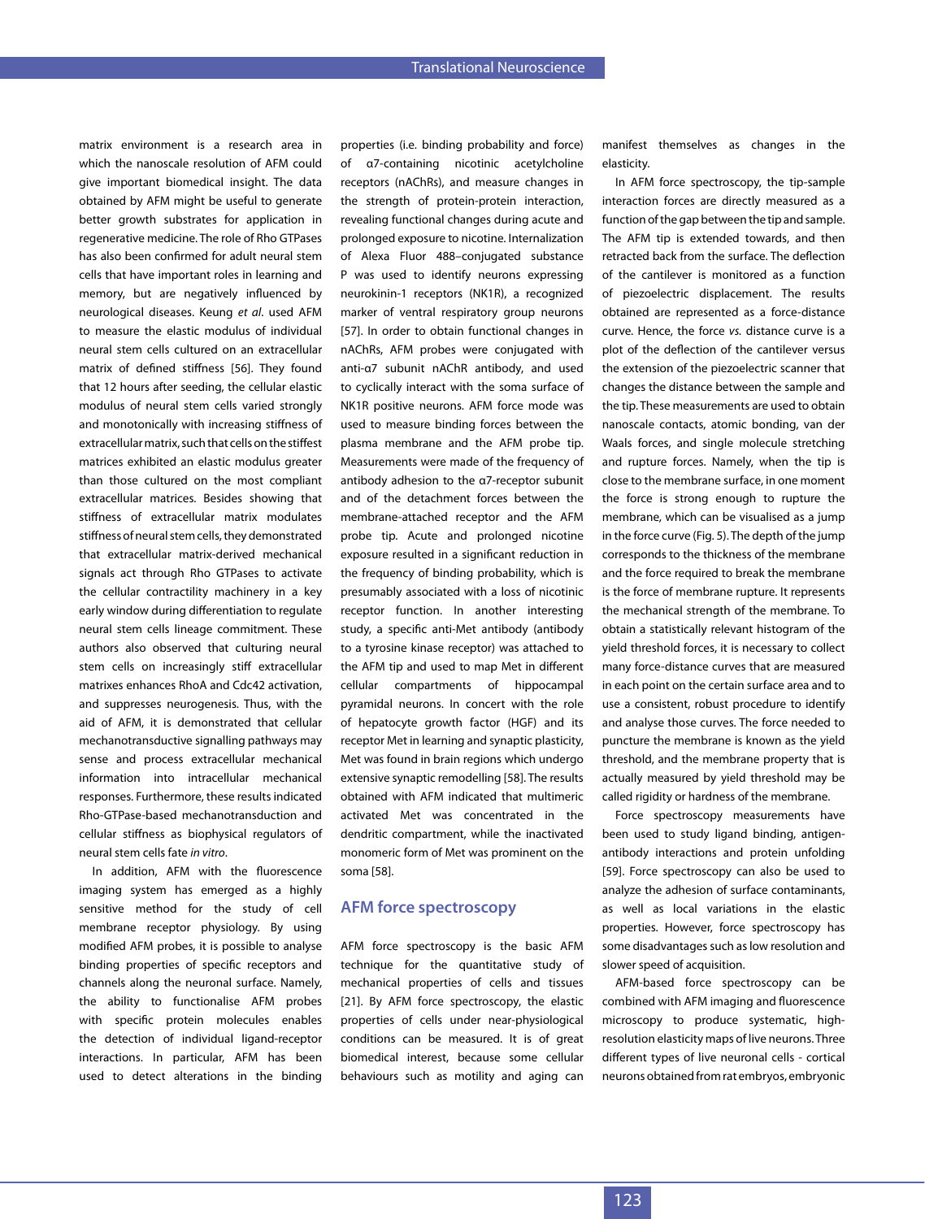matrix environment is a research area in which the nanoscale resolution of AFM could give important biomedical insight. The data obtained by AFM might be useful to generate better growth substrates for application in regenerative medicine. The role of Rho GTPases has also been confirmed for adult neural stem cells that have important roles in learning and memory, but are negatively influenced by neurological diseases. Keung *et al*. used AFM to measure the elastic modulus of individual neural stem cells cultured on an extracellular matrix of defined stiffness [56]. They found that 12 hours after seeding, the cellular elastic modulus of neural stem cells varied strongly and monotonically with increasing stiffness of extracellular matrix, such that cells on the stiffest matrices exhibited an elastic modulus greater than those cultured on the most compliant extracellular matrices. Besides showing that stiffness of extracellular matrix modulates stiffness of neural stem cells, they demonstrated that extracellular matrix-derived mechanical signals act through Rho GTPases to activate the cellular contractility machinery in a key early window during differentiation to regulate neural stem cells lineage commitment. These authors also observed that culturing neural stem cells on increasingly stiff extracellular matrixes enhances RhoA and Cdc42 activation, and suppresses neurogenesis. Thus, with the aid of AFM, it is demonstrated that cellular mechanotransductive signalling pathways may sense and process extracellular mechanical information into intracellular mechanical responses. Furthermore, these results indicated Rho-GTPase-based mechanotransduction and cellular stiffness as biophysical regulators of neural stem cells fate *in vitro*.

In addition, AFM with the fluorescence imaging system has emerged as a highly sensitive method for the study of cell membrane receptor physiology. By using modified AFM probes, it is possible to analyse binding properties of specific receptors and channels along the neuronal surface. Namely, the ability to functionalise AFM probes with specific protein molecules enables the detection of individual ligand-receptor interactions. In particular, AFM has been used to detect alterations in the binding

properties (i.e. binding probability and force) of α7-containing nicotinic acetylcholine receptors (nAChRs), and measure changes in the strength of protein-protein interaction, revealing functional changes during acute and prolonged exposure to nicotine. Internalization of Alexa Fluor 488–conjugated substance P was used to identify neurons expressing neurokinin-1 receptors (NK1R), a recognized marker of ventral respiratory group neurons [57]. In order to obtain functional changes in nAChRs, AFM probes were conjugated with anti-α7 subunit nAChR antibody, and used to cyclically interact with the soma surface of NK1R positive neurons. AFM force mode was used to measure binding forces between the plasma membrane and the AFM probe tip. Measurements were made of the frequency of antibody adhesion to the α7-receptor subunit and of the detachment forces between the membrane-attached receptor and the AFM probe tip. Acute and prolonged nicotine exposure resulted in a significant reduction in the frequency of binding probability, which is presumably associated with a loss of nicotinic receptor function. In another interesting study, a specific anti-Met antibody (antibody to a tyrosine kinase receptor) was attached to the AFM tip and used to map Met in different cellular compartments of hippocampal pyramidal neurons. In concert with the role of hepatocyte growth factor (HGF) and its receptor Met in learning and synaptic plasticity, Met was found in brain regions which undergo extensive synaptic remodelling [58]. The results obtained with AFM indicated that multimeric activated Met was concentrated in the dendritic compartment, while the inactivated monomeric form of Met was prominent on the soma [58].

# **AFM force spectroscopy**

AFM force spectroscopy is the basic AFM technique for the quantitative study of mechanical properties of cells and tissues [21]. By AFM force spectroscopy, the elastic properties of cells under near-physiological conditions can be measured. It is of great biomedical interest, because some cellular behaviours such as motility and aging can

manifest themselves as changes in the elasticity.

In AFM force spectroscopy, the tip-sample interaction forces are directly measured as a function of the gap between the tip and sample. The AFM tip is extended towards, and then retracted back from the surface. The deflection of the cantilever is monitored as a function of piezoelectric displacement. The results obtained are represented as a force-distance curve. Hence, the force *vs.* distance curve is a plot of the deflection of the cantilever versus the extension of the piezoelectric scanner that changes the distance between the sample and the tip. These measurements are used to obtain nanoscale contacts, atomic bonding, van der Waals forces, and single molecule stretching and rupture forces. Namely, when the tip is close to the membrane surface, in one moment the force is strong enough to rupture the membrane, which can be visualised as a jump in the force curve (Fig. 5). The depth of the jump corresponds to the thickness of the membrane and the force required to break the membrane is the force of membrane rupture. It represents the mechanical strength of the membrane. To obtain a statistically relevant histogram of the yield threshold forces, it is necessary to collect many force-distance curves that are measured in each point on the certain surface area and to use a consistent, robust procedure to identify and analyse those curves. The force needed to puncture the membrane is known as the yield threshold, and the membrane property that is actually measured by yield threshold may be called rigidity or hardness of the membrane.

Force spectroscopy measurements have been used to study ligand binding, antigenantibody interactions and protein unfolding [59]. Force spectroscopy can also be used to analyze the adhesion of surface contaminants, as well as local variations in the elastic properties. However, force spectroscopy has some disadvantages such as low resolution and slower speed of acquisition.

AFM-based force spectroscopy can be combined with AFM imaging and fluorescence microscopy to produce systematic, highresolution elasticity maps of live neurons. Three different types of live neuronal cells - cortical neurons obtained from rat embryos, embryonic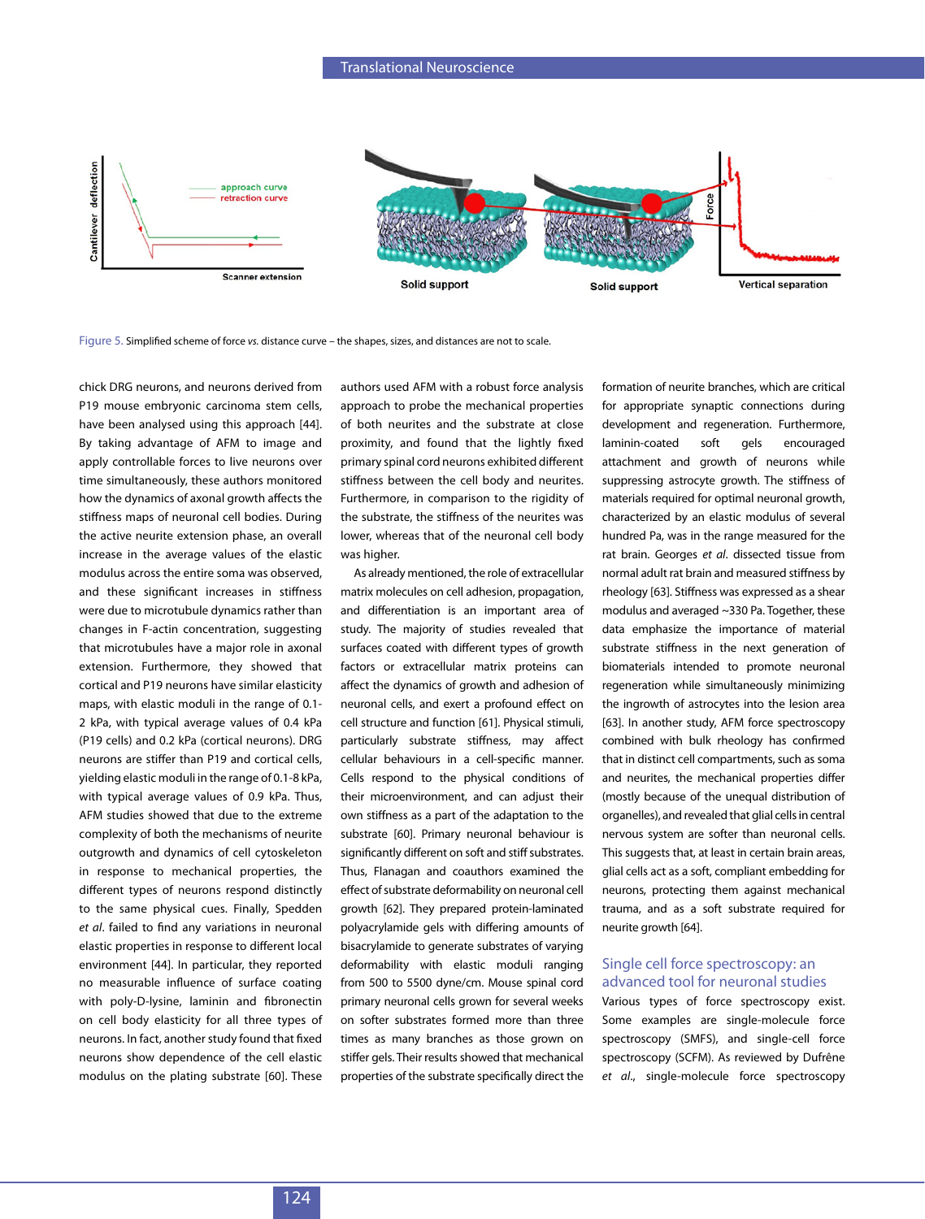

Figure 5. Simplified scheme of force *vs.* distance curve – the shapes, sizes, and distances are not to scale.

chick DRG neurons, and neurons derived from P19 mouse embryonic carcinoma stem cells, have been analysed using this approach [44]. By taking advantage of AFM to image and apply controllable forces to live neurons over time simultaneously, these authors monitored how the dynamics of axonal growth affects the stiffness maps of neuronal cell bodies. During the active neurite extension phase, an overall increase in the average values of the elastic modulus across the entire soma was observed, and these significant increases in stiffness were due to microtubule dynamics rather than changes in F-actin concentration, suggesting that microtubules have a major role in axonal extension. Furthermore, they showed that cortical and P19 neurons have similar elasticity maps, with elastic moduli in the range of 0.1- 2 kPa, with typical average values of 0.4 kPa (P19 cells) and 0.2 kPa (cortical neurons). DRG neurons are stiffer than P19 and cortical cells, yielding elastic moduli in the range of 0.1-8 kPa, with typical average values of 0.9 kPa. Thus, AFM studies showed that due to the extreme complexity of both the mechanisms of neurite outgrowth and dynamics of cell cytoskeleton in response to mechanical properties, the different types of neurons respond distinctly to the same physical cues. Finally, Spedden *et al*. failed to find any variations in neuronal elastic properties in response to different local environment [44]. In particular, they reported no measurable influence of surface coating with poly-D-lysine, laminin and fibronectin on cell body elasticity for all three types of neurons. In fact, another study found that fixed neurons show dependence of the cell elastic modulus on the plating substrate [60]. These

authors used AFM with a robust force analysis approach to probe the mechanical properties of both neurites and the substrate at close proximity, and found that the lightly fixed primary spinal cord neurons exhibited different stiffness between the cell body and neurites. Furthermore, in comparison to the rigidity of the substrate, the stiffness of the neurites was lower, whereas that of the neuronal cell body was higher.

As already mentioned, the role of extracellular matrix molecules on cell adhesion, propagation, and differentiation is an important area of study. The majority of studies revealed that surfaces coated with different types of growth factors or extracellular matrix proteins can affect the dynamics of growth and adhesion of neuronal cells, and exert a profound effect on cell structure and function [61]. Physical stimuli, particularly substrate stiffness, may affect cellular behaviours in a cell-specific manner. Cells respond to the physical conditions of their microenvironment, and can adjust their own stiffness as a part of the adaptation to the substrate [60]. Primary neuronal behaviour is significantly different on soft and stiff substrates. Thus, Flanagan and coauthors examined the effect of substrate deformability on neuronal cell growth [62]. They prepared protein-laminated polyacrylamide gels with differing amounts of bisacrylamide to generate substrates of varying deformability with elastic moduli ranging from 500 to 5500 dyne/cm. Mouse spinal cord primary neuronal cells grown for several weeks on softer substrates formed more than three times as many branches as those grown on stiffer gels. Their results showed that mechanical properties of the substrate specifically direct the

formation of neurite branches, which are critical for appropriate synaptic connections during development and regeneration. Furthermore, laminin-coated soft gels encouraged attachment and growth of neurons while suppressing astrocyte growth. The stiffness of materials required for optimal neuronal growth, characterized by an elastic modulus of several hundred Pa, was in the range measured for the rat brain. Georges *et al*. dissected tissue from normal adult rat brain and measured stiffness by rheology [63]. Stiffness was expressed as a shear modulus and averaged ~330 Pa. Together, these data emphasize the importance of material substrate stiffness in the next generation of biomaterials intended to promote neuronal regeneration while simultaneously minimizing the ingrowth of astrocytes into the lesion area [63]. In another study, AFM force spectroscopy combined with bulk rheology has confirmed that in distinct cell compartments, such as soma and neurites, the mechanical properties differ (mostly because of the unequal distribution of organelles), and revealed that glial cells in central nervous system are softer than neuronal cells. This suggests that, at least in certain brain areas, glial cells act as a soft, compliant embedding for neurons, protecting them against mechanical trauma, and as a soft substrate required for neurite growth [64].

#### Single cell force spectroscopy: an advanced tool for neuronal studies

Various types of force spectroscopy exist. Some examples are single-molecule force spectroscopy (SMFS), and single-cell force spectroscopy (SCFM). As reviewed by Dufrêne *et al*., single-molecule force spectroscopy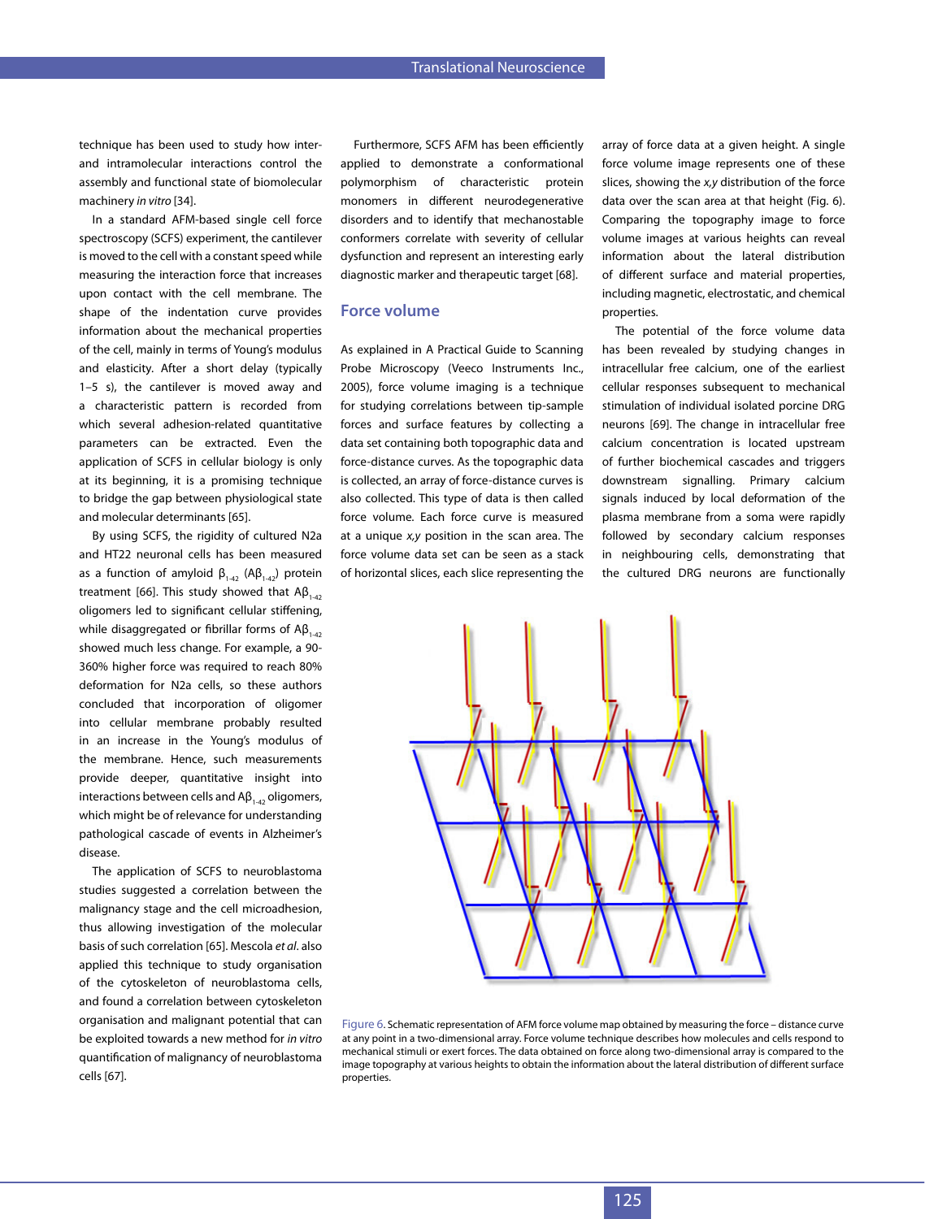technique has been used to study how interand intramolecular interactions control the assembly and functional state of biomolecular machinery *in vitro* [34].

In a standard AFM-based single cell force spectroscopy (SCFS) experiment, the cantilever is moved to the cell with a constant speed while measuring the interaction force that increases upon contact with the cell membrane. The shape of the indentation curve provides information about the mechanical properties of the cell, mainly in terms of Young's modulus and elasticity. After a short delay (typically 1–5 s), the cantilever is moved away and a characteristic pattern is recorded from which several adhesion-related quantitative parameters can be extracted. Even the application of SCFS in cellular biology is only at its beginning, it is a promising technique to bridge the gap between physiological state and molecular determinants [65].

By using SCFS, the rigidity of cultured N2a and HT22 neuronal cells has been measured as a function of amyloid  $β_{1-42}$  (A $β_{1-42}$ ) protein treatment [66]. This study showed that  $Aβ_{1-42}$ oligomers led to significant cellular stiffening, while disaggregated or fibrillar forms of  $AB<sub>1-42</sub>$ showed much less change. For example, a 90- 360% higher force was required to reach 80% deformation for N2a cells, so these authors concluded that incorporation of oligomer into cellular membrane probably resulted in an increase in the Young's modulus of the membrane. Hence, such measurements provide deeper, quantitative insight into interactions between cells and  $AB$ <sub>1-42</sub> oligomers, which might be of relevance for understanding pathological cascade of events in Alzheimer's disease.

The application of SCFS to neuroblastoma studies suggested a correlation between the malignancy stage and the cell microadhesion, thus allowing investigation of the molecular basis of such correlation [65]. Mescola *et al*. also applied this technique to study organisation of the cytoskeleton of neuroblastoma cells, and found a correlation between cytoskeleton organisation and malignant potential that can be exploited towards a new method for *in vitro* quantification of malignancy of neuroblastoma cells [67].

Furthermore, SCFS AFM has been efficiently applied to demonstrate a conformational polymorphism of characteristic protein monomers in different neurodegenerative disorders and to identify that mechanostable conformers correlate with severity of cellular dysfunction and represent an interesting early diagnostic marker and therapeutic target [68].

#### **Force volume**

As explained in A Practical Guide to Scanning Probe Microscopy (Veeco Instruments Inc., 2005), force volume imaging is a technique for studying correlations between tip-sample forces and surface features by collecting a data set containing both topographic data and force-distance curves. As the topographic data is collected, an array of force-distance curves is also collected. This type of data is then called force volume. Each force curve is measured at a unique *x,y* position in the scan area. The force volume data set can be seen as a stack of horizontal slices, each slice representing the

array of force data at a given height. A single force volume image represents one of these slices, showing the *x,y* distribution of the force data over the scan area at that height (Fig. 6). Comparing the topography image to force volume images at various heights can reveal information about the lateral distribution of different surface and material properties, including magnetic, electrostatic, and chemical properties.

The potential of the force volume data has been revealed by studying changes in intracellular free calcium, one of the earliest cellular responses subsequent to mechanical stimulation of individual isolated porcine DRG neurons [69]. The change in intracellular free calcium concentration is located upstream of further biochemical cascades and triggers downstream signalling. Primary calcium signals induced by local deformation of the plasma membrane from a soma were rapidly followed by secondary calcium responses in neighbouring cells, demonstrating that the cultured DRG neurons are functionally



Figure 6. Schematic representation of AFM force volume map obtained by measuring the force – distance curve at any point in a two-dimensional array. Force volume technique describes how molecules and cells respond to mechanical stimuli or exert forces. The data obtained on force along two-dimensional array is compared to the image topography at various heights to obtain the information about the lateral distribution of different surface properties.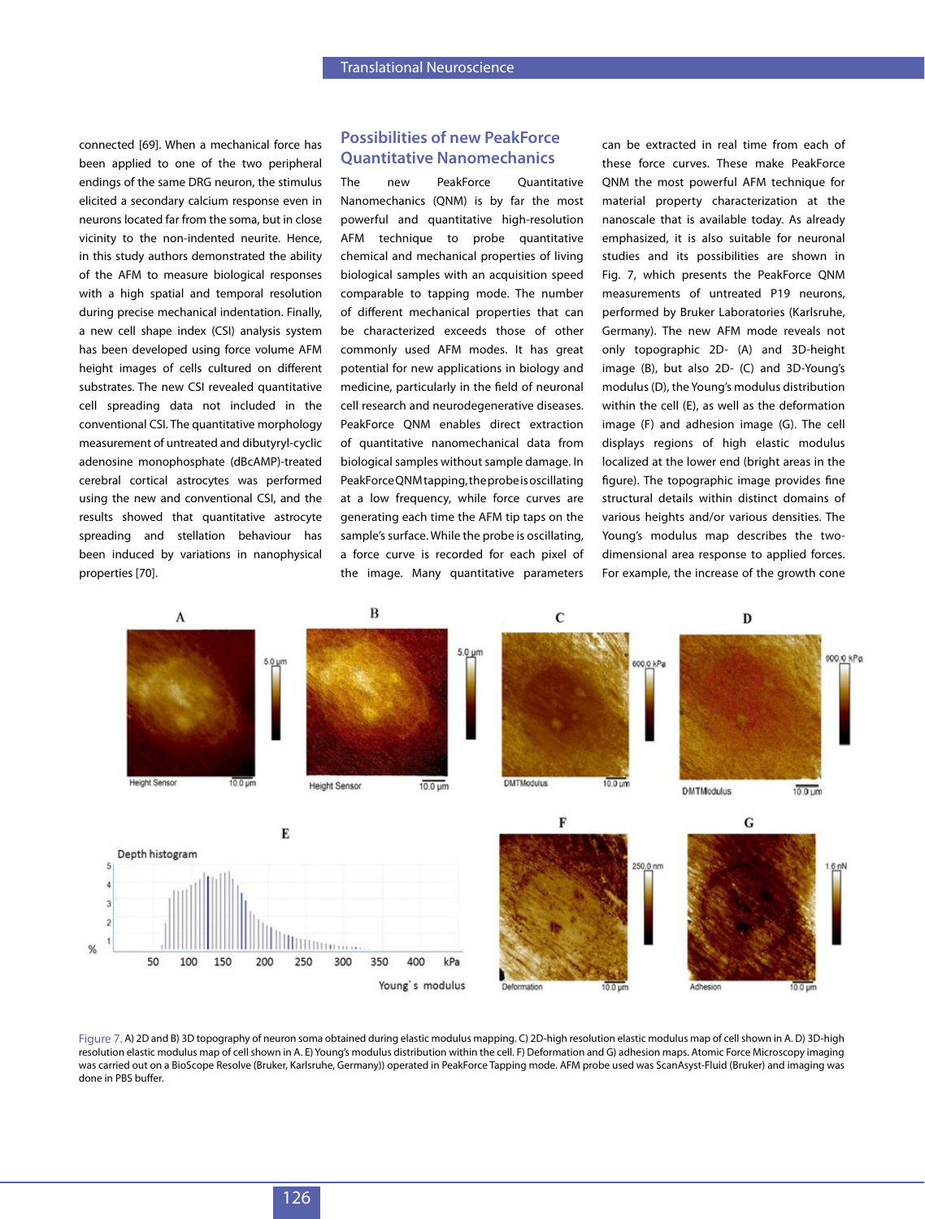connected [69]. When a mechanical force has been applied to one of the two peripheral endings of the same DRG neuron, the stimulus elicited a secondary calcium response even in neurons located far from the soma, but in close vicinity to the non-indented neurite. Hence, in this study authors demonstrated the ability of the AFM to measure biological responses with a high spatial and temporal resolution during precise mechanical indentation. Finally, a new cell shape index (CSI) analysis system has been developed using force volume AFM height images of cells cultured on different substrates. The new CSI revealed quantitative cell spreading data not included in the conventional CSI. The quantitative morphology measurement of untreated and dibutyryl-cyclic adenosine monophosphate (dBcAMP)-treated cerebral cortical astrocytes was performed using the new and conventional CSI, and the results showed that quantitative astrocyte spreading and stellation behaviour has been induced by variations in nanophysical properties [70].

# **Possibilities of new PeakForce Quantitative Nanomechanics**

The new PeakForce Quantitative Nanomechanics (QNM) is by far the most powerful and quantitative high-resolution AFM technique to probe quantitative chemical and mechanical properties of living biological samples with an acquisition speed comparable to tapping mode. The number of different mechanical properties that can be characterized exceeds those of other commonly used AFM modes. It has great potential for new applications in biology and medicine, particularly in the field of neuronal cell research and neurodegenerative diseases. PeakForce QNM enables direct extraction of quantitative nanomechanical data from biological samples without sample damage. In PeakForce QNM tapping, the probe is oscillating at a low frequency, while force curves are generating each time the AFM tip taps on the sample's surface. While the probe is oscillating, a force curve is recorded for each pixel of the image. Many quantitative parameters

can be extracted in real time from each of these force curves. These make PeakForce QNM the most powerful AFM technique for material property characterization at the nanoscale that is available today. As already emphasized, it is also suitable for neuronal studies and its possibilities are shown in Fig. 7, which presents the PeakForce QNM measurements of untreated P19 neurons, performed by Bruker Laboratories (Karlsruhe, Germany). The new AFM mode reveals not only topographic 2D- (A) and 3D-height image (B), but also 2D- (C) and 3D-Young's modulus (D), the Young's modulus distribution within the cell (E), as well as the deformation image (F) and adhesion image (G). The cell displays regions of high elastic modulus localized at the lower end (bright areas in the figure). The topographic image provides fine structural details within distinct domains of various heights and/or various densities. The Young's modulus map describes the twodimensional area response to applied forces. For example, the increase of the growth cone



Figure 7. A) 2D and B) 3D topography of neuron soma obtained during elastic modulus mapping. C) 2D-high resolution elastic modulus map of cell shown in A. D) 3D-high resolution elastic modulus map of cell shown in A. E) Young's modulus distribution within the cell. F) Deformation and G) adhesion maps. Atomic Force Microscopy imaging was carried out on a BioScope Resolve (Bruker, Karlsruhe, Germany)) operated in PeakForce Tapping mode. AFM probe used was ScanAsyst-Fluid (Bruker) and imaging was done in PBS buffer.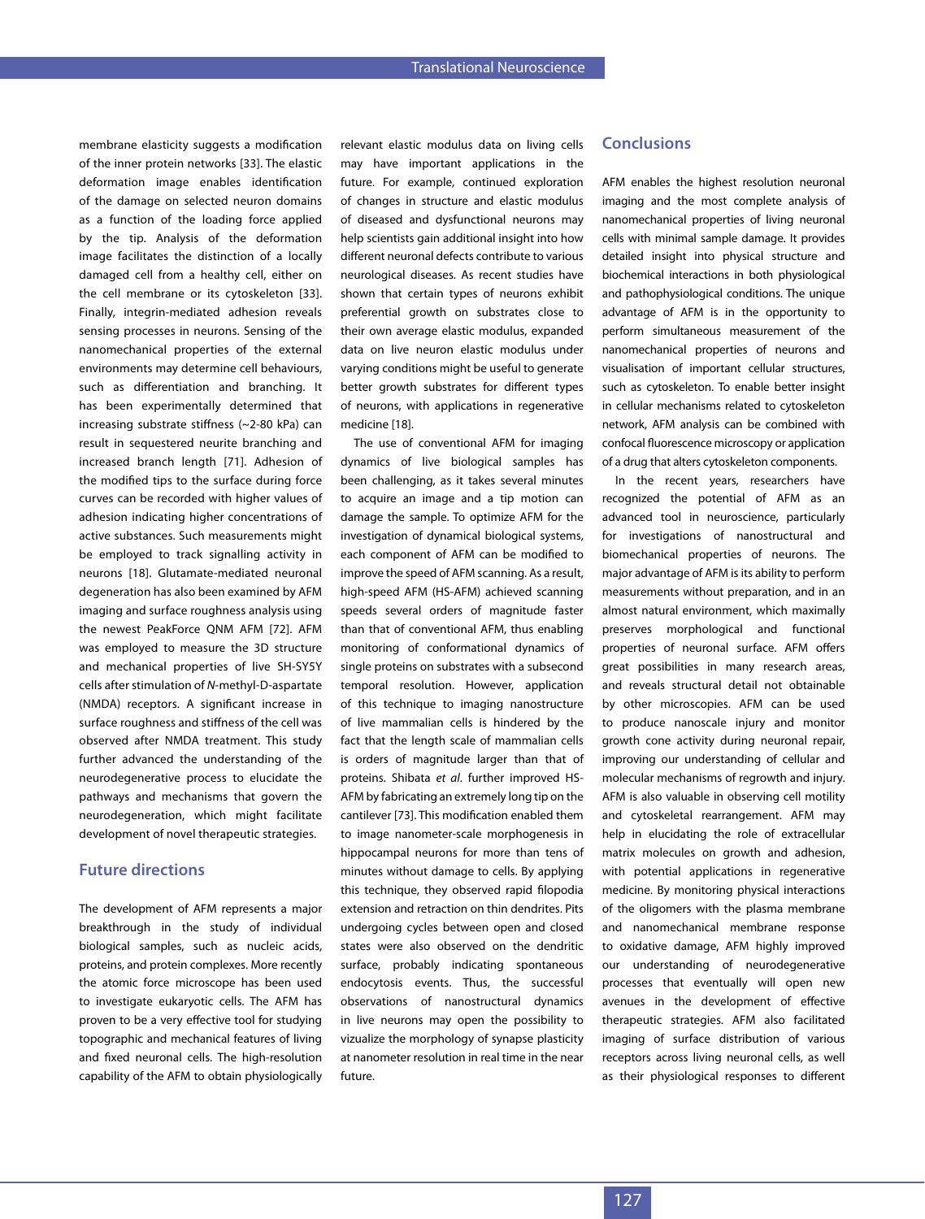membrane elasticity suggests a modification of the inner protein networks [33]. The elastic deformation image enables identification of the damage on selected neuron domains as a function of the loading force applied by the tip. Analysis of the deformation image facilitates the distinction of a locally damaged cell from a healthy cell, either on the cell membrane or its cytoskeleton [33]. Finally, integrin-mediated adhesion reveals sensing processes in neurons. Sensing of the nanomechanical properties of the external environments may determine cell behaviours, such as differentiation and branching. It has been experimentally determined that increasing substrate stiffness (~2-80 kPa) can result in sequestered neurite branching and increased branch length [71]. Adhesion of the modified tips to the surface during force curves can be recorded with higher values of adhesion indicating higher concentrations of active substances. Such measurements might be employed to track signalling activity in neurons [18]. Glutamate-mediated neuronal degeneration has also been examined by AFM imaging and surface roughness analysis using the newest PeakForce QNM AFM [72]. AFM was employed to measure the 3D structure and mechanical properties of live SH-SY5Y cells after stimulation of *N*-methyl-D-aspartate (NMDA) receptors. A significant increase in surface roughness and stiffness of the cell was observed after NMDA treatment. This study further advanced the understanding of the neurodegenerative process to elucidate the pathways and mechanisms that govern the neurodegeneration, which might facilitate development of novel therapeutic strategies.

# **Future directions**

The development of AFM represents a major breakthrough in the study of individual biological samples, such as nucleic acids, proteins, and protein complexes. More recently the atomic force microscope has been used to investigate eukaryotic cells. The AFM has proven to be a very effective tool for studying topographic and mechanical features of living and fixed neuronal cells. The high-resolution capability of the AFM to obtain physiologically

relevant elastic modulus data on living cells may have important applications in the future. For example, continued exploration of changes in structure and elastic modulus of diseased and dysfunctional neurons may help scientists gain additional insight into how different neuronal defects contribute to various neurological diseases. As recent studies have shown that certain types of neurons exhibit preferential growth on substrates close to their own average elastic modulus, expanded data on live neuron elastic modulus under varying conditions might be useful to generate better growth substrates for different types of neurons, with applications in regenerative medicine [18].

The use of conventional AFM for imaging dynamics of live biological samples has been challenging, as it takes several minutes to acquire an image and a tip motion can damage the sample. To optimize AFM for the investigation of dynamical biological systems, each component of AFM can be modified to improve the speed of AFM scanning. As a result, high-speed AFM (HS-AFM) achieved scanning speeds several orders of magnitude faster than that of conventional AFM, thus enabling monitoring of conformational dynamics of single proteins on substrates with a subsecond temporal resolution. However, application of this technique to imaging nanostructure of live mammalian cells is hindered by the fact that the length scale of mammalian cells is orders of magnitude larger than that of proteins. Shibata *et al*. further improved HS-AFM by fabricating an extremely long tip on the cantilever [73]. This modification enabled them to image nanometer-scale morphogenesis in hippocampal neurons for more than tens of minutes without damage to cells. By applying this technique, they observed rapid filopodia extension and retraction on thin dendrites. Pits undergoing cycles between open and closed states were also observed on the dendritic surface, probably indicating spontaneous endocytosis events. Thus, the successful observations of nanostructural dynamics in live neurons may open the possibility to vizualize the morphology of synapse plasticity at nanometer resolution in real time in the near future.

### **Conclusions**

AFM enables the highest resolution neuronal imaging and the most complete analysis of nanomechanical properties of living neuronal cells with minimal sample damage. It provides detailed insight into physical structure and biochemical interactions in both physiological and pathophysiological conditions. The unique advantage of AFM is in the opportunity to perform simultaneous measurement of the nanomechanical properties of neurons and visualisation of important cellular structures, such as cytoskeleton. To enable better insight in cellular mechanisms related to cytoskeleton network, AFM analysis can be combined with confocal fluorescence microscopy or application of a drug that alters cytoskeleton components.

In the recent years, researchers have recognized the potential of AFM as an advanced tool in neuroscience, particularly for investigations of nanostructural and biomechanical properties of neurons. The major advantage of AFM is its ability to perform measurements without preparation, and in an almost natural environment, which maximally preserves morphological and functional properties of neuronal surface. AFM offers great possibilities in many research areas, and reveals structural detail not obtainable by other microscopies. AFM can be used to produce nanoscale injury and monitor growth cone activity during neuronal repair, improving our understanding of cellular and molecular mechanisms of regrowth and injury. AFM is also valuable in observing cell motility and cytoskeletal rearrangement. AFM may help in elucidating the role of extracellular matrix molecules on growth and adhesion, with potential applications in regenerative medicine. By monitoring physical interactions of the oligomers with the plasma membrane and nanomechanical membrane response to oxidative damage, AFM highly improved our understanding of neurodegenerative processes that eventually will open new avenues in the development of effective therapeutic strategies. AFM also facilitated imaging of surface distribution of various receptors across living neuronal cells, as well as their physiological responses to different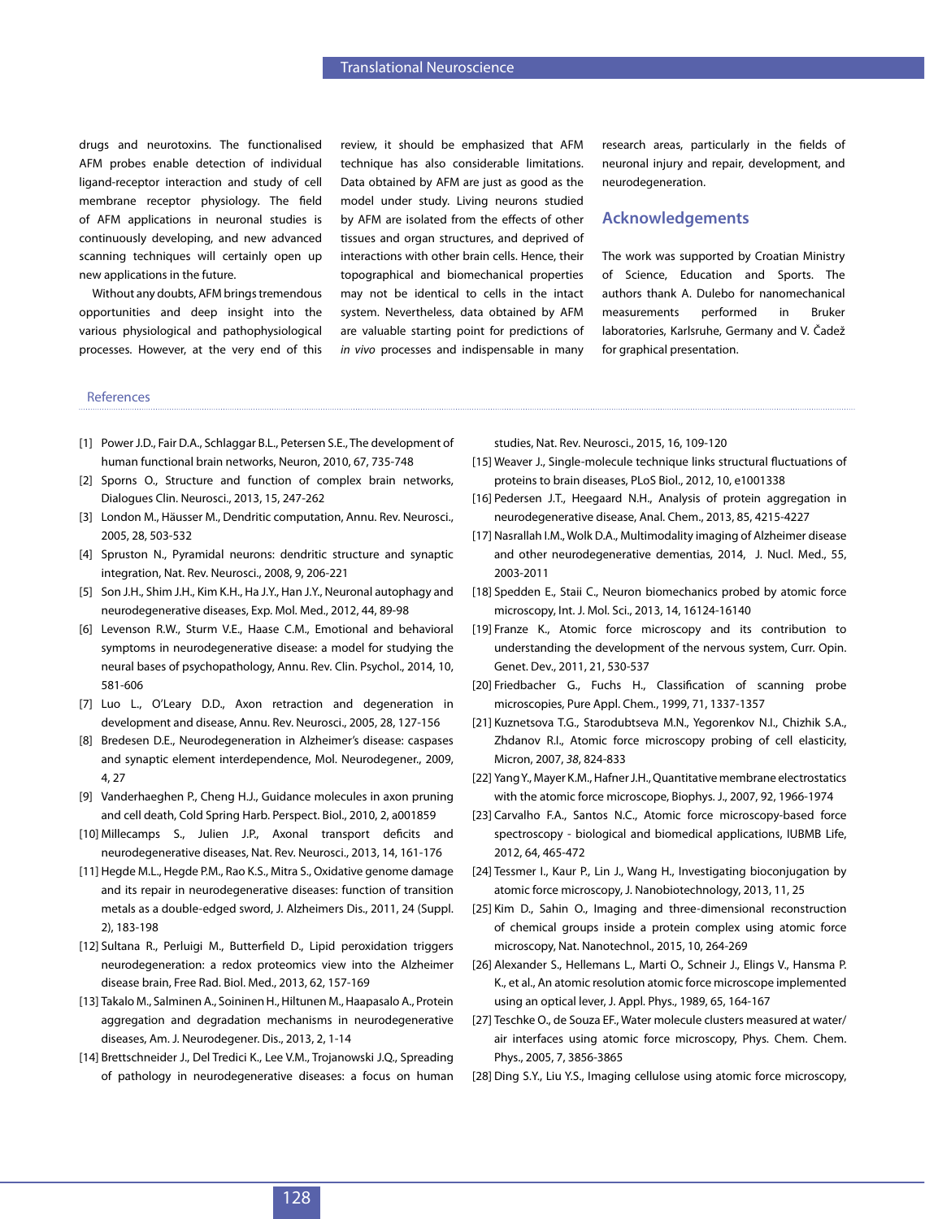drugs and neurotoxins. The functionalised AFM probes enable detection of individual ligand-receptor interaction and study of cell membrane receptor physiology. The field of AFM applications in neuronal studies is continuously developing, and new advanced scanning techniques will certainly open up new applications in the future.

Without any doubts, AFM brings tremendous opportunities and deep insight into the various physiological and pathophysiological processes. However, at the very end of this review, it should be emphasized that AFM technique has also considerable limitations. Data obtained by AFM are just as good as the model under study. Living neurons studied by AFM are isolated from the effects of other tissues and organ structures, and deprived of interactions with other brain cells. Hence, their topographical and biomechanical properties may not be identical to cells in the intact system. Nevertheless, data obtained by AFM are valuable starting point for predictions of *in vivo* processes and indispensable in many

research areas, particularly in the fields of neuronal injury and repair, development, and neurodegeneration.

#### **Acknowledgements**

The work was supported by Croatian Ministry of Science, Education and Sports. The authors thank A. Dulebo for nanomechanical measurements performed in Bruker laboratories, Karlsruhe, Germany and V. Čadež for graphical presentation.

#### References

- [1] Power J.D., Fair D.A., Schlaggar B.L., Petersen S.E., The development of human functional brain networks, Neuron, 2010, 67, 735-748
- [2] Sporns O., Structure and function of complex brain networks, Dialogues Clin. Neurosci., 2013, 15, 247-262
- [3] London M., Häusser M., Dendritic computation, Annu. Rev. Neurosci., 2005, 28, 503-532
- [4] Spruston N., Pyramidal neurons: dendritic structure and synaptic integration, Nat. Rev. Neurosci., 2008, 9, 206-221
- [5] Son J.H., Shim J.H., Kim K.H., Ha J.Y., Han J.Y., Neuronal autophagy and neurodegenerative diseases, Exp. Mol. Med., 2012, 44, 89-98
- [6] Levenson R.W., Sturm V.E., Haase C.M., Emotional and behavioral symptoms in neurodegenerative disease: a model for studying the neural bases of psychopathology, Annu. Rev. Clin. Psychol., 2014, 10, 581-606
- [7] Luo L., O'Leary D.D., Axon retraction and degeneration in development and disease, Annu. Rev. Neurosci., 2005, 28, 127-156
- [8] Bredesen D.E., Neurodegeneration in Alzheimer's disease: caspases and synaptic element interdependence, Mol. Neurodegener., 2009, 4, 27
- [9] Vanderhaeghen P., Cheng H.J., Guidance molecules in axon pruning and cell death, Cold Spring Harb. Perspect. Biol., 2010, 2, a001859
- [10] Millecamps S., Julien J.P., Axonal transport deficits and neurodegenerative diseases, Nat. Rev. Neurosci., 2013, 14, 161-176
- [11] Hegde M.L., Hegde P.M., Rao K.S., Mitra S., Oxidative genome damage and its repair in neurodegenerative diseases: function of transition metals as a double-edged sword, J. Alzheimers Dis., 2011, 24 (Suppl. 2), 183-198
- [12] Sultana R., Perluigi M., Butterfield D., Lipid peroxidation triggers neurodegeneration: a redox proteomics view into the Alzheimer disease brain, Free Rad. Biol. Med., 2013, 62, 157-169
- [13] Takalo M., Salminen A., Soininen H., Hiltunen M., Haapasalo A., Protein aggregation and degradation mechanisms in neurodegenerative diseases, Am. J. Neurodegener. Dis., 2013, 2, 1-14
- [14] Brettschneider J., Del Tredici K., Lee V.M., Trojanowski J.Q., Spreading of pathology in neurodegenerative diseases: a focus on human

studies, Nat. Rev. Neurosci., 2015, 16, 109-120

- [15] Weaver J., Single-molecule technique links structural fluctuations of proteins to brain diseases, PLoS Biol., 2012, 10, e1001338
- [16] Pedersen J.T., Heegaard N.H., Analysis of protein aggregation in neurodegenerative disease, Anal. Chem., 2013, 85, 4215-4227
- [17] Nasrallah I.M., Wolk D.A., Multimodality imaging of Alzheimer disease and other neurodegenerative dementias, 2014, J. Nucl. Med., 55, 2003-2011
- [18] Spedden E., Staii C., Neuron biomechanics probed by atomic force microscopy, Int. J. Mol. Sci., 2013, 14, 16124-16140
- [19] Franze K., Atomic force microscopy and its contribution to understanding the development of the nervous system, Curr. Opin. Genet. Dev., 2011, 21, 530-537
- [20] Friedbacher G., Fuchs H., Classification of scanning probe microscopies, Pure Appl. Chem*.*, 1999, 71, 1337-1357
- [21] Kuznetsova T.G., Starodubtseva M.N., Yegorenkov N.I., Chizhik S.A., Zhdanov R.I., Atomic force microscopy probing of cell elasticity, Micron, 2007, *38*, 824-833
- [22] Yang Y., Mayer K.M., Hafner J.H., Quantitative membrane electrostatics with the atomic force microscope, Biophys. J., 2007, 92, 1966-1974
- [23] Carvalho F.A., Santos N.C., Atomic force microscopy-based force spectroscopy - biological and biomedical applications, IUBMB Life, 2012, 64, 465-472
- [24] Tessmer I., Kaur P., Lin J., Wang H., Investigating bioconjugation by atomic force microscopy, J. Nanobiotechnology, 2013, 11, 25
- [25] Kim D., Sahin O., Imaging and three-dimensional reconstruction of chemical groups inside a protein complex using atomic force microscopy, Nat. Nanotechnol., 2015, 10, 264-269
- [26] Alexander S., Hellemans L., Marti O., Schneir J., Elings V., Hansma P. K., et al., An atomic resolution atomic force microscope implemented using an optical lever, J. Appl. Phys., 1989, 65, 164-167
- [27] Teschke O., de Souza EF., Water molecule clusters measured at water/ air interfaces using atomic force microscopy, Phys. Chem. Chem. Phys., 2005, 7, 3856-3865
- [28] Ding S.Y., Liu Y.S., Imaging cellulose using atomic force microscopy,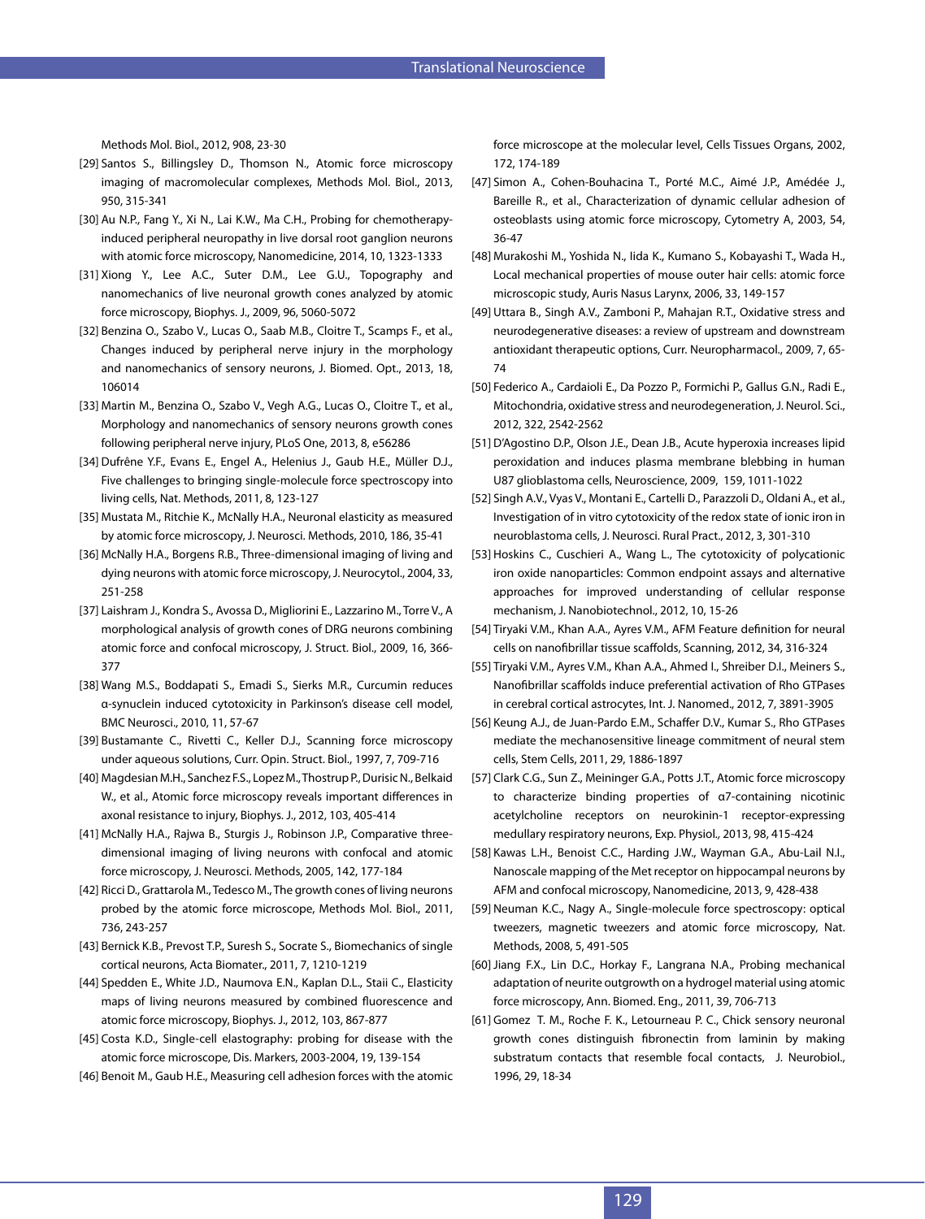Methods Mol. Biol., 2012, 908, 23-30

- [29] Santos S., Billingsley D., Thomson N., Atomic force microscopy imaging of macromolecular complexes, Methods Mol. Biol., 2013, 950, 315-341
- [30] Au N.P., Fang Y., Xi N., Lai K.W., Ma C.H., Probing for chemotherapyinduced peripheral neuropathy in live dorsal root ganglion neurons with atomic force microscopy, Nanomedicine, 2014, 10, 1323-1333
- [31] Xiong Y., Lee A.C., Suter D.M., Lee G.U., Topography and nanomechanics of live neuronal growth cones analyzed by atomic force microscopy, Biophys. J., 2009, 96, 5060-5072
- [32] Benzina O., Szabo V., Lucas O., Saab M.B., Cloitre T., Scamps F., et al., Changes induced by peripheral nerve injury in the morphology and nanomechanics of sensory neurons, J. Biomed. Opt., 2013, 18, 106014
- [33] Martin M., Benzina O., Szabo V., Vegh A.G., Lucas O., Cloitre T., et al., Morphology and nanomechanics of sensory neurons growth cones following peripheral nerve injury, PLoS One, 2013, 8, e56286
- [34] Dufrêne Y.F., Evans E., Engel A., Helenius J., Gaub H.E., Müller D.J., Five challenges to bringing single-molecule force spectroscopy into living cells, Nat. Methods, 2011, 8, 123-127
- [35] Mustata M., Ritchie K., McNally H.A., Neuronal elasticity as measured by atomic force microscopy, J. Neurosci. Methods, 2010, 186, 35-41
- [36] McNally H.A., Borgens R.B., Three-dimensional imaging of living and dying neurons with atomic force microscopy, J. Neurocytol., 2004, 33, 251-258
- [37] Laishram J., Kondra S., Avossa D., Migliorini E., Lazzarino M., Torre V., A morphological analysis of growth cones of DRG neurons combining atomic force and confocal microscopy, J. Struct. Biol., 2009, 16, 366- 377
- [38] Wang M.S., Boddapati S., Emadi S., Sierks M.R., Curcumin reduces α-synuclein induced cytotoxicity in Parkinson's disease cell model, BMC Neurosci., 2010, 11, 57-67
- [39] Bustamante C., Rivetti C., Keller D.J., Scanning force microscopy under aqueous solutions, Curr. Opin. Struct. Biol., 1997, 7, 709-716
- [40] Magdesian M.H., Sanchez F.S., Lopez M., Thostrup P., Durisic N., Belkaid W., et al., Atomic force microscopy reveals important differences in axonal resistance to injury, Biophys. J., 2012, 103, 405-414
- [41] McNally H.A., Rajwa B., Sturgis J., Robinson J.P., Comparative threedimensional imaging of living neurons with confocal and atomic force microscopy, J. Neurosci. Methods, 2005, 142, 177-184
- [42] Ricci D., Grattarola M., Tedesco M., The growth cones of living neurons probed by the atomic force microscope, Methods Mol. Biol., 2011, 736, 243-257
- [43] Bernick K.B., Prevost T.P., Suresh S., Socrate S., Biomechanics of single cortical neurons, Acta Biomater., 2011, 7, 1210-1219
- [44] Spedden E., White J.D., Naumova E.N., Kaplan D.L., Staii C., Elasticity maps of living neurons measured by combined fluorescence and atomic force microscopy, Biophys. J., 2012, 103, 867-877
- [45] Costa K.D., Single-cell elastography: probing for disease with the atomic force microscope, Dis. Markers, 2003-2004, 19, 139-154
- [46] Benoit M., Gaub H.E., Measuring cell adhesion forces with the atomic

force microscope at the molecular level, Cells Tissues Organs, 2002, 172, 174-189

- [47] Simon A., Cohen-Bouhacina T., Porté M.C., Aimé J.P., Amédée J., Bareille R., et al., Characterization of dynamic cellular adhesion of osteoblasts using atomic force microscopy, Cytometry A, 2003, 54, 36-47
- [48] Murakoshi M., Yoshida N., Iida K., Kumano S., Kobayashi T., Wada H., Local mechanical properties of mouse outer hair cells: atomic force microscopic study, Auris Nasus Larynx, 2006, 33, 149-157
- [49] Uttara B., Singh A.V., Zamboni P., Mahajan R.T., Oxidative stress and neurodegenerative diseases: a review of upstream and downstream antioxidant therapeutic options, Curr. Neuropharmacol., 2009, 7, 65- 74
- [50] Federico A., Cardaioli E., Da Pozzo P., Formichi P., Gallus G.N., Radi E., Mitochondria, oxidative stress and neurodegeneration, J. Neurol. Sci., 2012, 322, 2542-2562
- [51] D'Agostino D.P., Olson J.E., Dean J.B., Acute hyperoxia increases lipid peroxidation and induces plasma membrane blebbing in human U87 glioblastoma cells, Neuroscience, 2009, 159, 1011-1022
- [52] Singh A.V., Vyas V., Montani E., Cartelli D., Parazzoli D., Oldani A., et al., Investigation of in vitro cytotoxicity of the redox state of ionic iron in neuroblastoma cells, J. Neurosci. Rural Pract., 2012, 3, 301-310
- [53] Hoskins C., Cuschieri A., Wang L., The cytotoxicity of polycationic iron oxide nanoparticles: Common endpoint assays and alternative approaches for improved understanding of cellular response mechanism, J. Nanobiotechnol., 2012, 10, 15-26
- [54] Tiryaki V.M., Khan A.A., Ayres V.M., AFM Feature definition for neural cells on nanofibrillar tissue scaffolds, Scanning, 2012, 34, 316-324
- [55] Tiryaki V.M., Ayres V.M., Khan A.A., Ahmed I., Shreiber D.I., Meiners S., Nanofibrillar scaffolds induce preferential activation of Rho GTPases in cerebral cortical astrocytes, Int. J. Nanomed., 2012, 7, 3891-3905
- [56] Keung A.J., de Juan-Pardo E.M., Schaffer D.V., Kumar S., Rho GTPases mediate the mechanosensitive lineage commitment of neural stem cells, Stem Cells, 2011, 29, 1886-1897
- [57] Clark C.G., Sun Z., Meininger G.A., Potts J.T., Atomic force microscopy to characterize binding properties of α7-containing nicotinic acetylcholine receptors on neurokinin-1 receptor-expressing medullary respiratory neurons, Exp. Physiol*.,* 2013, 98, 415-424
- [58] Kawas L.H., Benoist C.C., Harding J.W., Wayman G.A., Abu-Lail N.I., Nanoscale mapping of the Met receptor on hippocampal neurons by AFM and confocal microscopy, Nanomedicine, 2013, 9, 428-438
- [59] Neuman K.C., Nagy A., Single-molecule force spectroscopy: optical tweezers, magnetic tweezers and atomic force microscopy, Nat. Methods, 2008, 5, 491-505
- [60] Jiang F.X., Lin D.C., Horkay F., Langrana N.A., Probing mechanical adaptation of neurite outgrowth on a hydrogel material using atomic force microscopy, Ann. Biomed. Eng., 2011, 39, 706-713
- [61] Gomez T. M., Roche F. K., Letourneau P. C., Chick sensory neuronal growth cones distinguish fibronectin from laminin by making substratum contacts that resemble focal contacts, J. Neurobiol., 1996, 29, 18-34